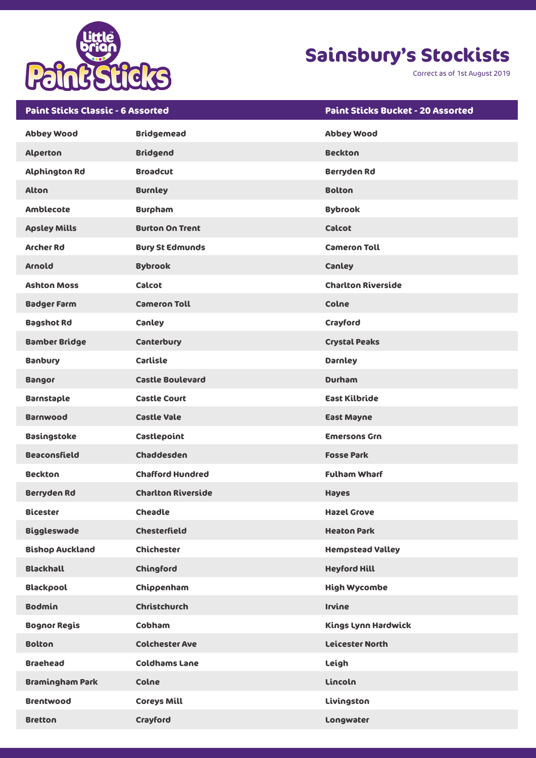

Correct as of 1st August 2019

| <b>Paint Sticks Classic - 6 Assorted</b> |                           | <b>Paint Sticks Bucket - 20 Assorted</b> |
|------------------------------------------|---------------------------|------------------------------------------|
| <b>Abbey Wood</b>                        | <b>Bridgemead</b>         | <b>Abbey Wood</b>                        |
| <b>Alperton</b>                          | <b>Bridgend</b>           | <b>Beckton</b>                           |
| <b>Alphington Rd</b>                     | <b>Broadcut</b>           | <b>Berryden Rd</b>                       |
| <b>Alton</b>                             | <b>Burnley</b>            | <b>Bolton</b>                            |
| Amblecote                                | <b>Burpham</b>            | <b>Bybrook</b>                           |
| <b>Apsley Mills</b>                      | <b>Burton On Trent</b>    | <b>Calcot</b>                            |
| <b>Archer Rd</b>                         | <b>Bury St Edmunds</b>    | <b>Cameron Toll</b>                      |
| Arnold                                   | <b>Bybrook</b>            | Canley                                   |
| <b>Ashton Moss</b>                       | <b>Calcot</b>             | <b>Charlton Riverside</b>                |
| <b>Badger Farm</b>                       | <b>Cameron Toll</b>       | Colne                                    |
| <b>Bagshot Rd</b>                        | Canley                    | Crayford                                 |
| <b>Bamber Bridge</b>                     | Canterbury                | <b>Crystal Peaks</b>                     |
| <b>Banbury</b>                           | Carlisle                  | <b>Darnley</b>                           |
| <b>Bangor</b>                            | <b>Castle Boulevard</b>   | <b>Durham</b>                            |
| <b>Barnstaple</b>                        | <b>Castle Court</b>       | <b>East Kilbride</b>                     |
| <b>Barnwood</b>                          | <b>Castle Vale</b>        | <b>East Mayne</b>                        |
| <b>Basingstoke</b>                       | Castlepoint               | <b>Emersons Grn</b>                      |
| <b>Beaconsfield</b>                      | Chaddesden                | <b>Fosse Park</b>                        |
| <b>Beckton</b>                           | <b>Chafford Hundred</b>   | <b>Fulham Wharf</b>                      |
| <b>Berryden Rd</b>                       | <b>Charlton Riverside</b> | <b>Hayes</b>                             |
| <b>Bicester</b>                          | <b>Cheadle</b>            | <b>Hazel Grove</b>                       |
| <b>Biggleswade</b>                       | <b>Chesterfield</b>       | <b>Heaton Park</b>                       |
| <b>Bishop Auckland</b>                   | <b>Chichester</b>         | <b>Hempstead Valley</b>                  |
| <b>Blackhall</b>                         | Chingford                 | <b>Heyford Hill</b>                      |
| <b>Blackpool</b>                         | Chippenham                | <b>High Wycombe</b>                      |
| <b>Bodmin</b>                            | <b>Christchurch</b>       | <b>Irvine</b>                            |
| <b>Bognor Regis</b>                      | Cobham                    | Kings Lynn Hardwick                      |
| <b>Bolton</b>                            | <b>Colchester Ave</b>     | <b>Leicester North</b>                   |
| <b>Braehead</b>                          | <b>Coldhams Lane</b>      | Leigh                                    |
| <b>Bramingham Park</b>                   | Colne                     | Lincoln                                  |
| <b>Brentwood</b>                         | <b>Coreys Mill</b>        | Livingston                               |
| <b>Bretton</b>                           | Crayford                  | Longwater                                |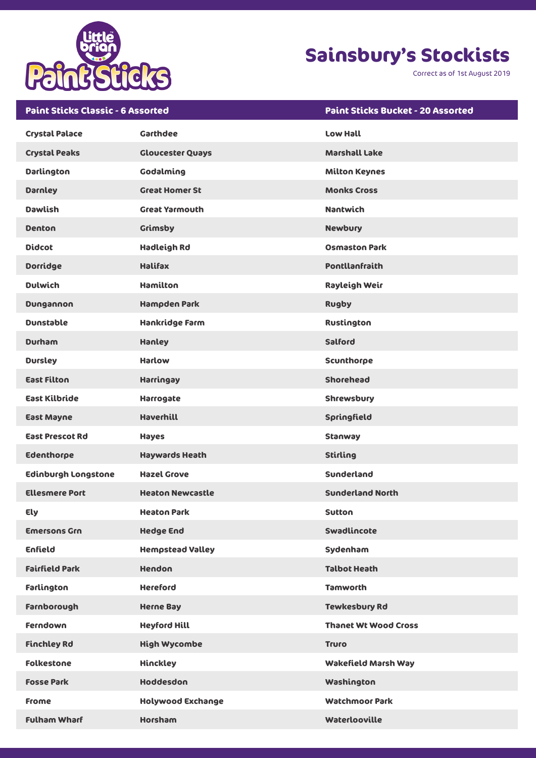

Correct as of 1st August 2019

| <b>Paint Sticks Classic - 6 Assorted</b> |                          | <b>Paint Sticks Bucket - 20 Assorted</b> |
|------------------------------------------|--------------------------|------------------------------------------|
| <b>Crystal Palace</b>                    | <b>Garthdee</b>          | <b>Low Hall</b>                          |
| <b>Crystal Peaks</b>                     | <b>Gloucester Quays</b>  | <b>Marshall Lake</b>                     |
| <b>Darlington</b>                        | Godalming                | <b>Milton Keynes</b>                     |
| <b>Darnley</b>                           | <b>Great Homer St</b>    | <b>Monks Cross</b>                       |
| <b>Dawlish</b>                           | <b>Great Yarmouth</b>    | <b>Nantwich</b>                          |
| <b>Denton</b>                            | <b>Grimsby</b>           | <b>Newbury</b>                           |
| <b>Didcot</b>                            | <b>Hadleigh Rd</b>       | <b>Osmaston Park</b>                     |
| <b>Dorridge</b>                          | <b>Halifax</b>           | <b>Pontllanfraith</b>                    |
| <b>Dulwich</b>                           | <b>Hamilton</b>          | Rayleigh Weir                            |
| Dungannon                                | <b>Hampden Park</b>      | <b>Rugby</b>                             |
| <b>Dunstable</b>                         | Hankridge Farm           | Rustington                               |
| <b>Durham</b>                            | Hanley                   | Salford                                  |
| <b>Dursley</b>                           | <b>Harlow</b>            | Scunthorpe                               |
| <b>East Filton</b>                       | Harringay                | <b>Shorehead</b>                         |
| <b>East Kilbride</b>                     | Harrogate                | <b>Shrewsbury</b>                        |
| <b>East Mayne</b>                        | <b>Haverhill</b>         | Springfield                              |
| <b>East Prescot Rd</b>                   | <b>Hayes</b>             | <b>Stanway</b>                           |
| <b>Edenthorpe</b>                        | <b>Haywards Heath</b>    | <b>Stirling</b>                          |
| <b>Edinburgh Longstone</b>               | <b>Hazel Grove</b>       | Sunderland                               |
| <b>Ellesmere Port</b>                    | <b>Heaton Newcastle</b>  | <b>Sunderland North</b>                  |
| Ely                                      | <b>Heaton Park</b>       | <b>Sutton</b>                            |
| <b>Emersons Grn</b>                      | <b>Hedge End</b>         | <b>Swadlincote</b>                       |
| <b>Enfield</b>                           | <b>Hempstead Valley</b>  | Sydenham                                 |
| <b>Fairfield Park</b>                    | <b>Hendon</b>            | <b>Talbot Heath</b>                      |
| Farlington                               | <b>Hereford</b>          | <b>Tamworth</b>                          |
| Farnborough                              | <b>Herne Bay</b>         | <b>Tewkesbury Rd</b>                     |
| <b>Ferndown</b>                          | <b>Heyford Hill</b>      | <b>Thanet Wt Wood Cross</b>              |
| <b>Finchley Rd</b>                       | <b>High Wycombe</b>      | <b>Truro</b>                             |
| <b>Folkestone</b>                        | <b>Hinckley</b>          | <b>Wakefield Marsh Way</b>               |
| <b>Fosse Park</b>                        | <b>Hoddesdon</b>         | Washington                               |
| <b>Frome</b>                             | <b>Holywood Exchange</b> | <b>Watchmoor Park</b>                    |
| <b>Fulham Wharf</b>                      | <b>Horsham</b>           | Waterlooville                            |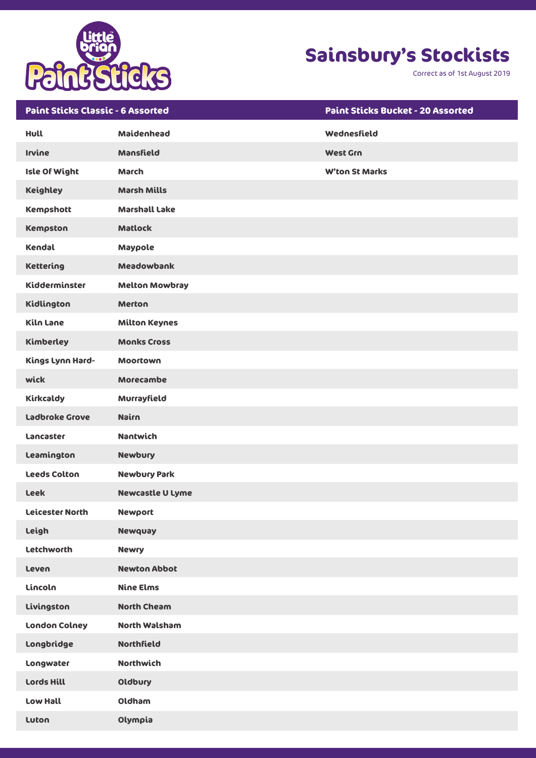

Correct as of 1st August 2019

| <b>Paint Sticks Classic - 6 Assorted</b> |                         | <b>Paint Sticks Bucket - 20 Assorted</b> |
|------------------------------------------|-------------------------|------------------------------------------|
| Hull                                     | Maidenhead              | Wednesfield                              |
| <b>Irvine</b>                            | Mansfield               | <b>West Grn</b>                          |
| <b>Isle Of Wight</b>                     | <b>March</b>            | <b>W'ton St Marks</b>                    |
| <b>Keighley</b>                          | <b>Marsh Mills</b>      |                                          |
| <b>Kempshott</b>                         | <b>Marshall Lake</b>    |                                          |
| Kempston                                 | <b>Matlock</b>          |                                          |
| Kendal                                   | Maypole                 |                                          |
| <b>Kettering</b>                         | Meadowbank              |                                          |
| Kidderminster                            | <b>Melton Mowbray</b>   |                                          |
| Kidlington                               | <b>Merton</b>           |                                          |
| Kiln Lane                                | <b>Milton Keynes</b>    |                                          |
| Kimberley                                | <b>Monks Cross</b>      |                                          |
| Kings Lynn Hard-                         | <b>Moortown</b>         |                                          |
| wick                                     | <b>Morecambe</b>        |                                          |
| Kirkcaldy                                | Murrayfield             |                                          |
| <b>Ladbroke Grove</b>                    | Nairn                   |                                          |
| Lancaster                                | <b>Nantwich</b>         |                                          |
| Leamington                               | <b>Newbury</b>          |                                          |
| <b>Leeds Colton</b>                      | <b>Newbury Park</b>     |                                          |
| <b>Leek</b>                              | <b>Newcastle U Lyme</b> |                                          |
| <b>Leicester North</b>                   | <b>Newport</b>          |                                          |
| Leigh                                    | <b>Newquay</b>          |                                          |
| <b>Letchworth</b>                        | <b>Newry</b>            |                                          |
| Leven                                    | <b>Newton Abbot</b>     |                                          |
| Lincoln                                  | <b>Nine Elms</b>        |                                          |
| Livingston                               | <b>North Cheam</b>      |                                          |
| <b>London Colney</b>                     | <b>North Walsham</b>    |                                          |
| Longbridge                               | <b>Northfield</b>       |                                          |
| Longwater                                | <b>Northwich</b>        |                                          |
| Lords Hill                               | Oldbury                 |                                          |
| Low Hall                                 | Oldham                  |                                          |
| Luton                                    | Olympia                 |                                          |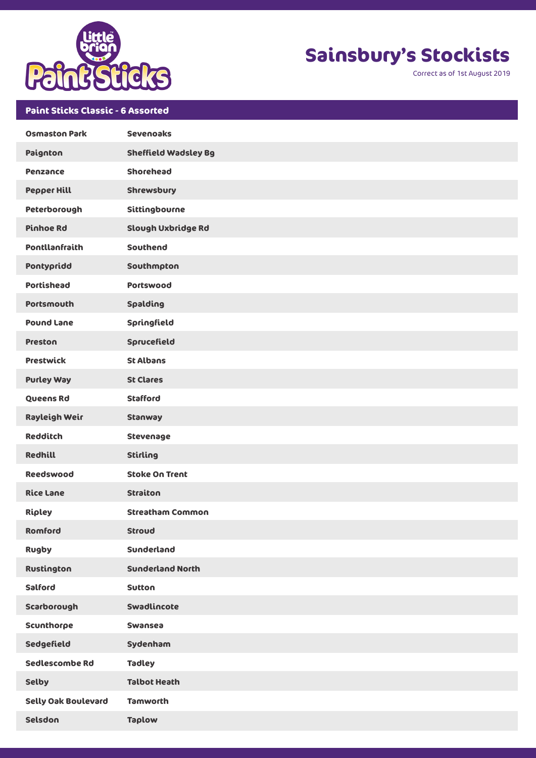

Correct as of 1st August 2019

### **Paint Sticks Classic - 6 Assorted**

| <b>Osmaston Park</b>       | <b>Sevenoaks</b>            |
|----------------------------|-----------------------------|
| Paignton                   | <b>Sheffield Wadsley Bg</b> |
| <b>Penzance</b>            | <b>Shorehead</b>            |
| <b>Pepper Hill</b>         | <b>Shrewsbury</b>           |
| Peterborough               | Sittingbourne               |
| <b>Pinhoe Rd</b>           | Slough Uxbridge Rd          |
| <b>Pontllanfraith</b>      | Southend                    |
| Pontypridd                 | Southmpton                  |
| <b>Portishead</b>          | Portswood                   |
| <b>Portsmouth</b>          | Spalding                    |
| <b>Pound Lane</b>          | Springfield                 |
| <b>Preston</b>             | Sprucefield                 |
| <b>Prestwick</b>           | <b>St Albans</b>            |
| <b>Purley Way</b>          | <b>St Clares</b>            |
| Queens Rd                  | <b>Stafford</b>             |
| Rayleigh Weir              | Stanway                     |
| <b>Redditch</b>            | Stevenage                   |
| <b>Redhill</b>             | <b>Stirling</b>             |
| <b>Reedswood</b>           | <b>Stoke On Trent</b>       |
| <b>Rice Lane</b>           | <b>Straiton</b>             |
| Ripley                     | <b>Streatham Common</b>     |
| Romford                    | <b>Stroud</b>               |
| <b>Rugby</b>               | Sunderland                  |
| Rustington                 | <b>Sunderland North</b>     |
| Salford                    | <b>Sutton</b>               |
| Scarborough                | Swadlincote                 |
| Scunthorpe                 | Swansea                     |
| Sedgefield                 | Sydenham                    |
| Sedlescombe Rd             | <b>Tadley</b>               |
| <b>Selby</b>               | <b>Talbot Heath</b>         |
| <b>Selly Oak Boulevard</b> | <b>Tamworth</b>             |
| Selsdon                    | <b>Taplow</b>               |